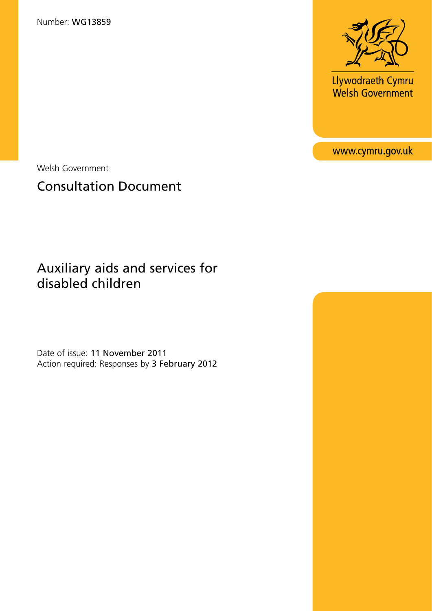Number: WG13859



Llywodraeth Cymru<br>Welsh Government

www.cymru.gov.uk

Welsh Government

# Consultation Document

## Auxiliary aids and services for disabled children

Date of issue: 11 November 2011 Action required: Responses by 3 February 2012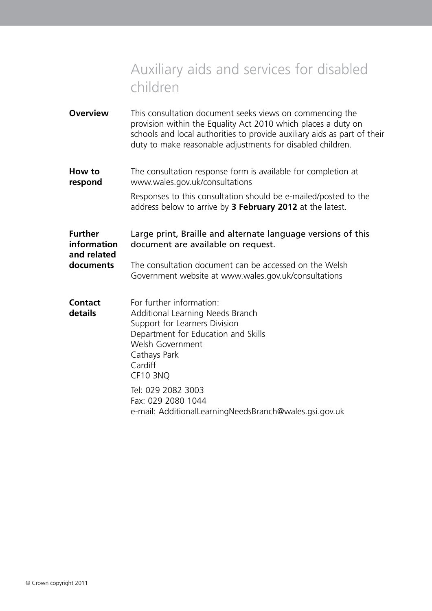# Auxiliary aids and services for disabled children

**Overview** This consultation document seeks views on commencing the provision within the Equality Act 2010 which places a duty on schools and local authorities to provide auxiliary aids as part of their duty to make reasonable adjustments for disabled children.

**How to** The consultation response form is available for completion at **respond** www.wales.gov.uk/consultations

> Responses to this consultation should be e-mailed/posted to the address below to arrive by **3 February 2012** at the latest.

**Further** Large print, Braille and alternate language versions of this **information** document are available on request. **and related documents** The consultation document can be accessed on the Welsh

- Government website at www.wales.gov.uk/consultations
- **Contact** For further information: **details** Additional Learning Needs Branch Support for Learners Division Department for Education and Skills Welsh Government Cathays Park Cardiff CF10 3NQ Tel: 029 2082 3003 Fax: 029 2080 1044
	- e-mail: AdditionalLearningNeedsBranch@wales.gsi.gov.uk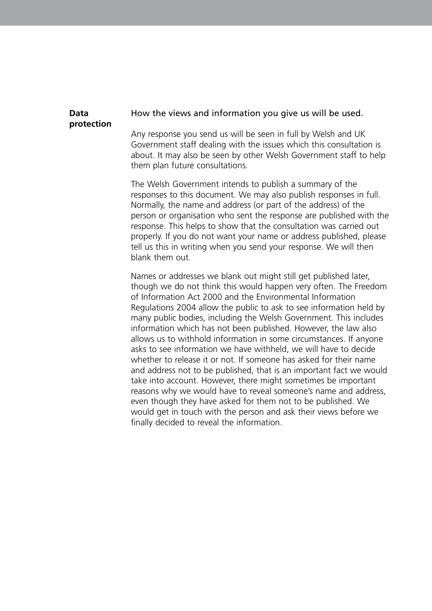#### **Data** How the views and information you give us will be used.

### **protection**

Any response you send us will be seen in full by Welsh and UK Government staff dealing with the issues which this consultation is about. It may also be seen by other Welsh Government staff to help them plan future consultations.

The Welsh Government intends to publish a summary of the responses to this document. We may also publish responses in full. Normally, the name and address (or part of the address) of the person or organisation who sent the response are published with the response. This helps to show that the consultation was carried out properly. If you do not want your name or address published, please tell us this in writing when you send your response. We will then blank them out.

Names or addresses we blank out might still get published later, though we do not think this would happen very often. The Freedom of Information Act 2000 and the Environmental Information Regulations 2004 allow the public to ask to see information held by many public bodies, including the Welsh Government. This includes information which has not been published. However, the law also allows us to withhold information in some circumstances. If anyone asks to see information we have withheld, we will have to decide whether to release it or not. If someone has asked for their name and address not to be published, that is an important fact we would take into account. However, there might sometimes be important reasons why we would have to reveal someone's name and address, even though they have asked for them not to be published. We would get in touch with the person and ask their views before we finally decided to reveal the information.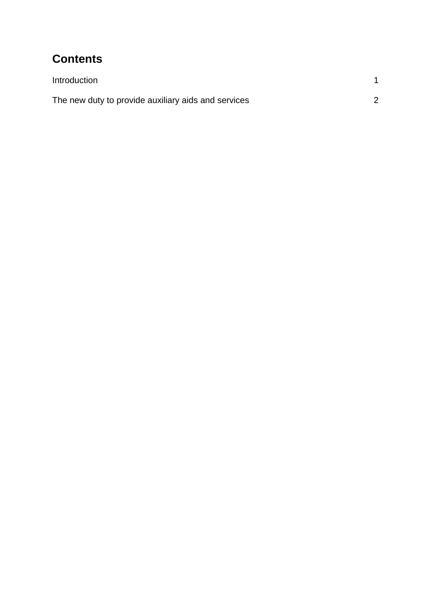### **Contents**

| Introduction                                        |  |
|-----------------------------------------------------|--|
| The new duty to provide auxiliary aids and services |  |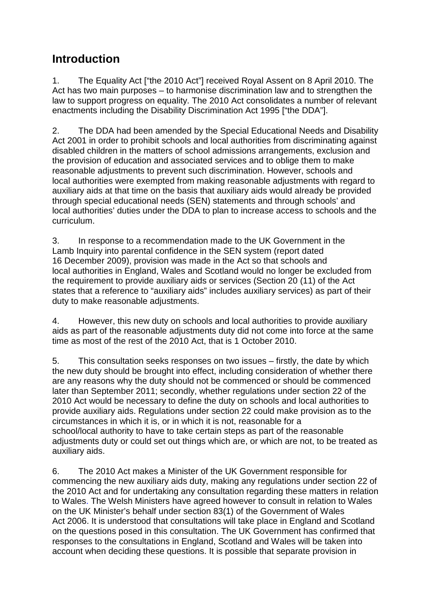### **Introduction**

1. The Equality Act ["the 2010 Act"] received Royal Assent on 8 April 2010. The Act has two main purposes – to harmonise discrimination law and to strengthen the law to support progress on equality. The 2010 Act consolidates a number of relevant enactments including the Disability Discrimination Act 1995 ["the DDA"].

2. The DDA had been amended by the Special Educational Needs and Disability Act 2001 in order to prohibit schools and local authorities from discriminating against disabled children in the matters of school admissions arrangements, exclusion and the provision of education and associated services and to oblige them to make reasonable adjustments to prevent such discrimination. However, schools and local authorities were exempted from making reasonable adjustments with regard to auxiliary aids at that time on the basis that auxiliary aids would already be provided through special educational needs (SEN) statements and through schools' and local authorities' duties under the DDA to plan to increase access to schools and the curriculum.

3. In response to a recommendation made to the UK Government in the Lamb Inquiry into parental confidence in the SEN system (report dated 16 December 2009), provision was made in the Act so that schools and local authorities in England, Wales and Scotland would no longer be excluded from the requirement to provide auxiliary aids or services (Section 20 (11) of the Act states that a reference to "auxiliary aids" includes auxiliary services) as part of their duty to make reasonable adjustments.

4. However, this new duty on schools and local authorities to provide auxiliary aids as part of the reasonable adjustments duty did not come into force at the same time as most of the rest of the 2010 Act, that is 1 October 2010.

5. This consultation seeks responses on two issues – firstly, the date by which the new duty should be brought into effect, including consideration of whether there are any reasons why the duty should not be commenced or should be commenced later than September 2011; secondly, whether regulations under section 22 of the 2010 Act would be necessary to define the duty on schools and local authorities to provide auxiliary aids. Regulations under section 22 could make provision as to the circumstances in which it is, or in which it is not, reasonable for a school/local authority to have to take certain steps as part of the reasonable adjustments duty or could set out things which are, or which are not, to be treated as auxiliary aids.

6. The 2010 Act makes a Minister of the UK Government responsible for commencing the new auxiliary aids duty, making any regulations under section 22 of the 2010 Act and for undertaking any consultation regarding these matters in relation to Wales. The Welsh Ministers have agreed however to consult in relation to Wales on the UK Minister's behalf under section 83(1) of the Government of Wales Act 2006. It is understood that consultations will take place in England and Scotland on the questions posed in this consultation. The UK Government has confirmed that responses to the consultations in England, Scotland and Wales will be taken into account when deciding these questions. It is possible that separate provision in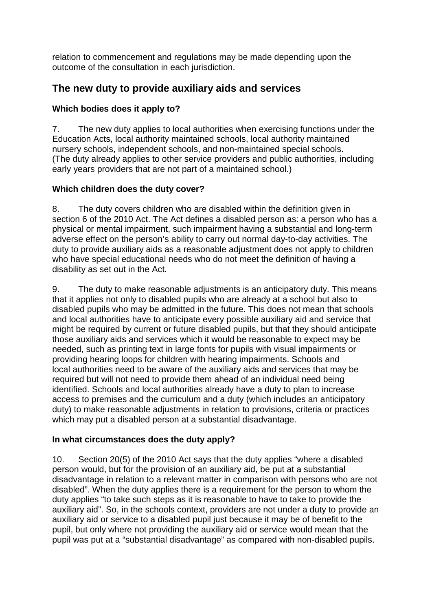relation to commencement and regulations may be made depending upon the outcome of the consultation in each jurisdiction.

#### **The new duty to provide auxiliary aids and services**

#### **Which bodies does it apply to?**

7. The new duty applies to local authorities when exercising functions under the Education Acts, local authority maintained schools, local authority maintained nursery schools, independent schools, and non-maintained special schools. (The duty already applies to other service providers and public authorities, including early years providers that are not part of a maintained school.)

#### **Which children does the duty cover?**

8. The duty covers children who are disabled within the definition given in section 6 of the 2010 Act. The Act defines a disabled person as: a person who has a physical or mental impairment, such impairment having a substantial and long-term adverse effect on the person's ability to carry out normal day-to-day activities. The duty to provide auxiliary aids as a reasonable adjustment does not apply to children who have special educational needs who do not meet the definition of having a disability as set out in the Act.

9. The duty to make reasonable adjustments is an anticipatory duty. This means that it applies not only to disabled pupils who are already at a school but also to disabled pupils who may be admitted in the future. This does not mean that schools and local authorities have to anticipate every possible auxiliary aid and service that might be required by current or future disabled pupils, but that they should anticipate those auxiliary aids and services which it would be reasonable to expect may be needed, such as printing text in large fonts for pupils with visual impairments or providing hearing loops for children with hearing impairments. Schools and local authorities need to be aware of the auxiliary aids and services that may be required but will not need to provide them ahead of an individual need being identified. Schools and local authorities already have a duty to plan to increase access to premises and the curriculum and a duty (which includes an anticipatory duty) to make reasonable adjustments in relation to provisions, criteria or practices which may put a disabled person at a substantial disadvantage.

#### **In what circumstances does the duty apply?**

10. Section 20(5) of the 2010 Act says that the duty applies "where a disabled person would, but for the provision of an auxiliary aid, be put at a substantial disadvantage in relation to a relevant matter in comparison with persons who are not disabled". When the duty applies there is a requirement for the person to whom the duty applies "to take such steps as it is reasonable to have to take to provide the auxiliary aid". So, in the schools context, providers are not under a duty to provide an auxiliary aid or service to a disabled pupil just because it may be of benefit to the pupil, but only where not providing the auxiliary aid or service would mean that the pupil was put at a "substantial disadvantage" as compared with non-disabled pupils.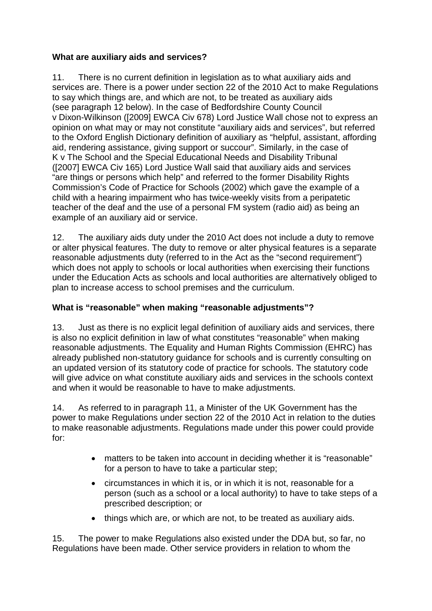#### **What are auxiliary aids and services?**

11. There is no current definition in legislation as to what auxiliary aids and services are. There is a power under section 22 of the 2010 Act to make Regulations to say which things are, and which are not, to be treated as auxiliary aids (see paragraph 12 below). In the case of Bedfordshire County Council v Dixon-Wilkinson ([2009] EWCA Civ 678) Lord Justice Wall chose not to express an opinion on what may or may not constitute "auxiliary aids and services", but referred to the Oxford English Dictionary definition of auxiliary as "helpful, assistant, affording aid, rendering assistance, giving support or succour". Similarly, in the case of K v The School and the Special Educational Needs and Disability Tribunal ([2007] EWCA Civ 165) Lord Justice Wall said that auxiliary aids and services "are things or persons which help" and referred to the former Disability Rights Commission's Code of Practice for Schools (2002) which gave the example of a child with a hearing impairment who has twice-weekly visits from a peripatetic teacher of the deaf and the use of a personal FM system (radio aid) as being an example of an auxiliary aid or service.

12. The auxiliary aids duty under the 2010 Act does not include a duty to remove or alter physical features. The duty to remove or alter physical features is a separate reasonable adjustments duty (referred to in the Act as the "second requirement") which does not apply to schools or local authorities when exercising their functions under the Education Acts as schools and local authorities are alternatively obliged to plan to increase access to school premises and the curriculum.

#### **What is "reasonable" when making "reasonable adjustments"?**

13. Just as there is no explicit legal definition of auxiliary aids and services, there is also no explicit definition in law of what constitutes "reasonable" when making reasonable adjustments. The Equality and Human Rights Commission (EHRC) has already published non-statutory guidance for schools and is currently consulting on an updated version of its statutory code of practice for schools. The statutory code will give advice on what constitute auxiliary aids and services in the schools context and when it would be reasonable to have to make adjustments.

14. As referred to in paragraph 11, a Minister of the UK Government has the power to make Regulations under section 22 of the 2010 Act in relation to the duties to make reasonable adjustments. Regulations made under this power could provide for:

- matters to be taken into account in deciding whether it is "reasonable" for a person to have to take a particular step;
- circumstances in which it is, or in which it is not, reasonable for a person (such as a school or a local authority) to have to take steps of a prescribed description; or
- things which are, or which are not, to be treated as auxiliary aids.

15. The power to make Regulations also existed under the DDA but, so far, no Regulations have been made. Other service providers in relation to whom the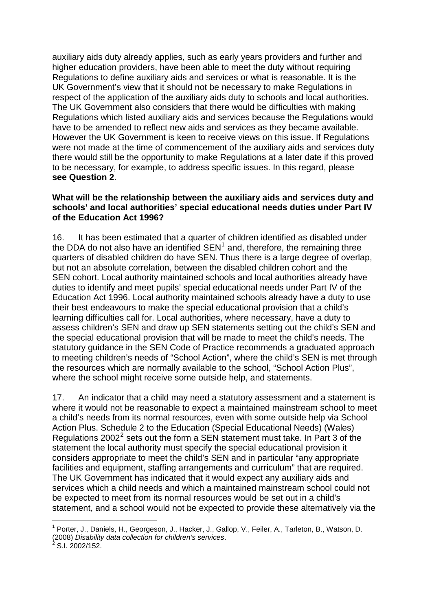auxiliary aids duty already applies, such as early years providers and further and higher education providers, have been able to meet the duty without requiring Regulations to define auxiliary aids and services or what is reasonable. It is the UK Government's view that it should not be necessary to make Regulations in respect of the application of the auxiliary aids duty to schools and local authorities. The UK Government also considers that there would be difficulties with making Regulations which listed auxiliary aids and services because the Regulations would have to be amended to reflect new aids and services as they became available. However the UK Government is keen to receive views on this issue. If Regulations were not made at the time of commencement of the auxiliary aids and services duty there would still be the opportunity to make Regulations at a later date if this proved to be necessary, for example, to address specific issues. In this regard, please **see Question 2**.

#### **What will be the relationship between the auxiliary aids and services duty and schools' and local authorities' special educational needs duties under Part IV of the Education Act 1996?**

16. It has been estimated that a quarter of children identified as disabled under the DDA do not also have an identified  $SEN<sup>1</sup>$  $SEN<sup>1</sup>$  $SEN<sup>1</sup>$  and, therefore, the remaining three quarters of disabled children do have SEN. Thus there is a large degree of overlap, but not an absolute correlation, between the disabled children cohort and the SEN cohort. Local authority maintained schools and local authorities already have duties to identify and meet pupils' special educational needs under Part IV of the Education Act 1996. Local authority maintained schools already have a duty to use their best endeavours to make the special educational provision that a child's learning difficulties call for. Local authorities, where necessary, have a duty to assess children's SEN and draw up SEN statements setting out the child's SEN and the special educational provision that will be made to meet the child's needs. The statutory guidance in the SEN Code of Practice recommends a graduated approach to meeting children's needs of "School Action", where the child's SEN is met through the resources which are normally available to the school, "School Action Plus", where the school might receive some outside help, and statements.

17. An indicator that a child may need a statutory assessment and a statement is where it would not be reasonable to expect a maintained mainstream school to meet a child's needs from its normal resources, even with some outside help via School Action Plus. Schedule 2 to the Education (Special Educational Needs) (Wales) Regulations [2](#page-7-1)002<sup>2</sup> sets out the form a SEN statement must take. In Part 3 of the statement the local authority must specify the special educational provision it considers appropriate to meet the child's SEN and in particular "any appropriate facilities and equipment, staffing arrangements and curriculum" that are required. The UK Government has indicated that it would expect any auxiliary aids and services which a child needs and which a maintained mainstream school could not be expected to meet from its normal resources would be set out in a child's statement, and a school would not be expected to provide these alternatively via the

1

<span id="page-7-0"></span><sup>&</sup>lt;sup>1</sup> Porter, J., Daniels, H., Georgeson, J., Hacker, J., Gallop, V., Feiler, A., Tarleton, B., Watson, D. (2008) *Disability data collection for children's services*. 2

<span id="page-7-1"></span> $\frac{1}{2}$ S.I. 2002/152.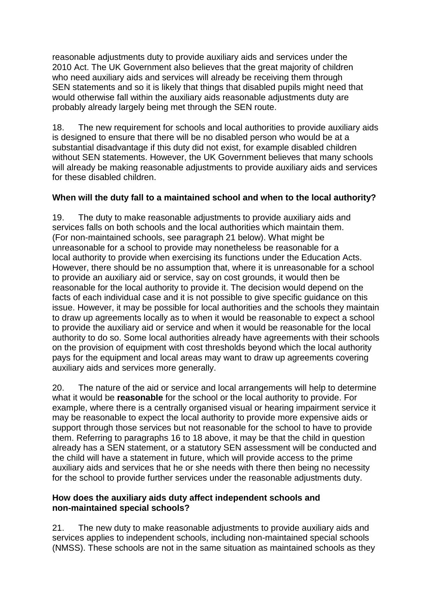reasonable adjustments duty to provide auxiliary aids and services under the 2010 Act. The UK Government also believes that the great majority of children who need auxiliary aids and services will already be receiving them through SEN statements and so it is likely that things that disabled pupils might need that would otherwise fall within the auxiliary aids reasonable adjustments duty are probably already largely being met through the SEN route.

18. The new requirement for schools and local authorities to provide auxiliary aids is designed to ensure that there will be no disabled person who would be at a substantial disadvantage if this duty did not exist, for example disabled children without SEN statements. However, the UK Government believes that many schools will already be making reasonable adjustments to provide auxiliary aids and services for these disabled children.

#### **When will the duty fall to a maintained school and when to the local authority?**

19. The duty to make reasonable adjustments to provide auxiliary aids and services falls on both schools and the local authorities which maintain them. (For non-maintained schools, see paragraph 21 below). What might be unreasonable for a school to provide may nonetheless be reasonable for a local authority to provide when exercising its functions under the Education Acts. However, there should be no assumption that, where it is unreasonable for a school to provide an auxiliary aid or service, say on cost grounds, it would then be reasonable for the local authority to provide it. The decision would depend on the facts of each individual case and it is not possible to give specific guidance on this issue. However, it may be possible for local authorities and the schools they maintain to draw up agreements locally as to when it would be reasonable to expect a school to provide the auxiliary aid or service and when it would be reasonable for the local authority to do so. Some local authorities already have agreements with their schools on the provision of equipment with cost thresholds beyond which the local authority pays for the equipment and local areas may want to draw up agreements covering auxiliary aids and services more generally.

20. The nature of the aid or service and local arrangements will help to determine what it would be **reasonable** for the school or the local authority to provide. For example, where there is a centrally organised visual or hearing impairment service it may be reasonable to expect the local authority to provide more expensive aids or support through those services but not reasonable for the school to have to provide them. Referring to paragraphs 16 to 18 above, it may be that the child in question already has a SEN statement, or a statutory SEN assessment will be conducted and the child will have a statement in future, which will provide access to the prime auxiliary aids and services that he or she needs with there then being no necessity for the school to provide further services under the reasonable adjustments duty.

#### **How does the auxiliary aids duty affect independent schools and non-maintained special schools?**

21. The new duty to make reasonable adjustments to provide auxiliary aids and services applies to independent schools, including non-maintained special schools (NMSS). These schools are not in the same situation as maintained schools as they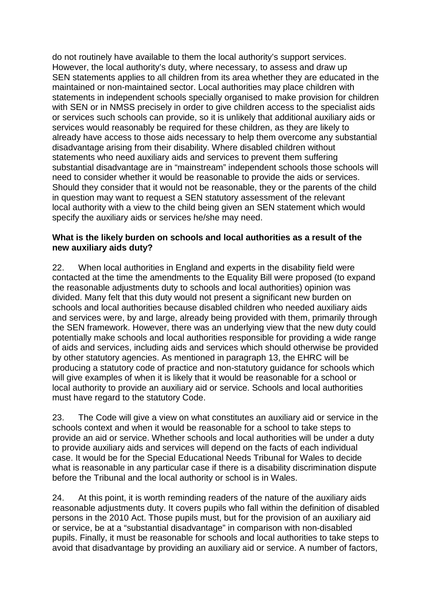do not routinely have available to them the local authority's support services. However, the local authority's duty, where necessary, to assess and draw up SEN statements applies to all children from its area whether they are educated in the maintained or non-maintained sector. Local authorities may place children with statements in independent schools specially organised to make provision for children with SEN or in NMSS precisely in order to give children access to the specialist aids or services such schools can provide, so it is unlikely that additional auxiliary aids or services would reasonably be required for these children, as they are likely to already have access to those aids necessary to help them overcome any substantial disadvantage arising from their disability. Where disabled children without statements who need auxiliary aids and services to prevent them suffering substantial disadvantage are in "mainstream" independent schools those schools will need to consider whether it would be reasonable to provide the aids or services. Should they consider that it would not be reasonable, they or the parents of the child in question may want to request a SEN statutory assessment of the relevant local authority with a view to the child being given an SEN statement which would specify the auxiliary aids or services he/she may need.

#### **What is the likely burden on schools and local authorities as a result of the new auxiliary aids duty?**

22. When local authorities in England and experts in the disability field were contacted at the time the amendments to the Equality Bill were proposed (to expand the reasonable adjustments duty to schools and local authorities) opinion was divided. Many felt that this duty would not present a significant new burden on schools and local authorities because disabled children who needed auxiliary aids and services were, by and large, already being provided with them, primarily through the SEN framework. However, there was an underlying view that the new duty could potentially make schools and local authorities responsible for providing a wide range of aids and services, including aids and services which should otherwise be provided by other statutory agencies. As mentioned in paragraph 13, the EHRC will be producing a statutory code of practice and non-statutory guidance for schools which will give examples of when it is likely that it would be reasonable for a school or local authority to provide an auxiliary aid or service. Schools and local authorities must have regard to the statutory Code.

23. The Code will give a view on what constitutes an auxiliary aid or service in the schools context and when it would be reasonable for a school to take steps to provide an aid or service. Whether schools and local authorities will be under a duty to provide auxiliary aids and services will depend on the facts of each individual case. It would be for the Special Educational Needs Tribunal for Wales to decide what is reasonable in any particular case if there is a disability discrimination dispute before the Tribunal and the local authority or school is in Wales.

24. At this point, it is worth reminding readers of the nature of the auxiliary aids reasonable adjustments duty. It covers pupils who fall within the definition of disabled persons in the 2010 Act. Those pupils must, but for the provision of an auxiliary aid or service, be at a "substantial disadvantage" in comparison with non-disabled pupils. Finally, it must be reasonable for schools and local authorities to take steps to avoid that disadvantage by providing an auxiliary aid or service. A number of factors,